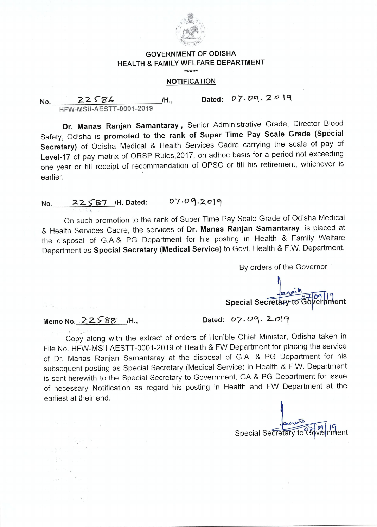

## **GOVERNMENT OF ODISHA HEALTH & FAMILY WELFARE DEPARTMENT**

 $****$ 

## **NOTIFICATION**

No. 22586 **HFW-MSil-AESTT-0001 -2019 /H., Dated: 07. Vq. 2 0 19** 

**Dr. Manas Ranjan Samantaray ,** Senior Administrative Grade, Director Blood Safety, Odisha is **promoted to the rank of Super Time Pay Scale Grade (Special Secretary)** of Odisha Medical & Health Services Cadre carrying the scale of pay of **Level-17** of pay matrix of ORSP Rules,2017, on adhoc basis for a period not exceeding one year or till receipt of recommendation of OPSC or till his retirement, whichever is earlier.

## **No. 22587 H. Dated: 07.09.2019**

On such promotion to the rank of Super Time Pay Scale Grade of Odisha Medical & Health Services Cadre, the services of **Dr. Manas Ranjan Samantaray** is placed at the disposal of G.A.& PG Department for his posting in Health & Family Welfare Department as **Special Secretary (Medical Service)** to Govt. Health & F.W. Department.

By orders of the Governor

**Special Secretary to Govern** 

## Memo No. 22588 /H., Dated: 07.09. 2019

. Sejim 19

Copy along with the extract of orders of Hon'ble Chief Minister, Odisha taken in File No. HFVV-MSII-AESTT-0001-2019 of Health & FW Department for placing the service of Dr. Manas Ranjan Samantaray at the disposal of G.A. & PG Department for his subsequent posting as Special Secretary (Medical Service) in Health & F.W. Department is sent herewith to the Special Secretary to Government, GA & PG Department for issue of necessary Notification as regard his posting in Health and FW Department at the earliest at their end.

Special Secretary to Boyer